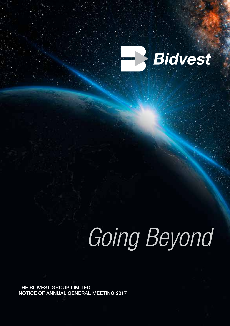

# *Going Beyond*

THE BIDVEST GROUP LIMITED NOTICE OF ANNUAL GENERAL MEETING 2017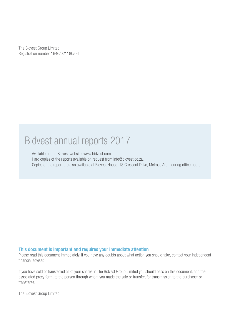The Bidvest Group Limited Registration number 1946/021180/06

### Bidvest annual reports 2017

Available on the Bidvest website, www.bidvest.com. Hard copies of the reports available on request from info@bidvest.co.za. Copies of the report are also available at Bidvest House, 18 Crescent Drive, Melrose Arch, during office hours.

#### This document is important and requires your immediate attention

Please read this document immediately. If you have any doubts about what action you should take, contact your independent financial adviser.

If you have sold or transferred all of your shares in The Bidvest Group Limited you should pass on this document, and the associated proxy form, to the person through whom you made the sale or transfer, for transmission to the purchaser or transferee.

The Bidvest Group Limited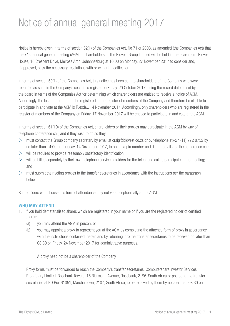### Notice of annual general meeting 2017

Notice is hereby given in terms of section 62(1) of the Companies Act, No 71 of 2008, as amended (the Companies Act) that the 71st annual general meeting (AGM) of shareholders of The Bidvest Group Limited will be held in the boardroom, Bidvest House, 18 Crescent Drive, Melrose Arch, Johannesburg at 10:00 on Monday, 27 November 2017 to consider and, if approved, pass the necessary resolutions with or without modification.

In terms of section 59(1) of the Companies Act, this notice has been sent to shareholders of the Company who were recorded as such in the Company's securities register on Friday, 20 October 2017, being the record date as set by the board in terms of the Companies Act for determining which shareholders are entitled to receive a notice of AGM. Accordingly, the last date to trade to be registered in the register of members of the Company and therefore be eligible to participate in and vote at the AGM is Tuesday, 14 November 2017. Accordingly, only shareholders who are registered in the register of members of the Company on Friday, 17 November 2017 will be entitled to participate in and vote at the AGM.

In terms of section 61(10) of the Companies Act, shareholders or their proxies may participate in the AGM by way of telephone conference call, and if they wish to do so they:

- $\triangleright$  must contact the Group company secretary by email at craig@bidvest.co.za or by telephone at+27 (11) 772 8732 by no later than 14:00 on Tuesday, 14 November 2017, to obtain a pin number and dial-in details for the conference call;
- $\triangleright$  will be required to provide reasonably satisfactory identification;
- $\triangleright$  will be billed separately by their own telephone service providers for the telephone call to participate in the meeting; and
- $\triangleright$  must submit their voting proxies to the transfer secretaries in accordance with the instructions per the paragraph below.

Shareholders who choose this form of attendance may not vote telephonically at the AGM.

#### WHO MAY ATTEND

- 1. If you hold dematerialised shares which are registered in your name or if you are the registered holder of certified shares:
	- (a) you may attend the AGM in person; or
	- (b) you may appoint a proxy to represent you at the AGM by completing the attached form of proxy in accordance with the instructions contained therein and by returning it to the transfer secretaries to be received no later than 08:30 on Friday, 24 November 2017 for administrative purposes.

A proxy need not be a shareholder of the Company.

 Proxy forms must be forwarded to reach the Company's transfer secretaries, Computershare Investor Services Proprietary Limited, Rosebank Towers, 15 Biermann Avenue, Rosebank, 2196, South Africa or posted to the transfer secretaries at PO Box 61051, Marshalltown, 2107, South Africa, to be received by them by no later than 08:30 on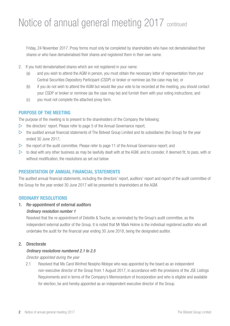### Notice of annual general meeting 2017 continued

Friday, 24 November 2017. Proxy forms must only be completed by shareholders who have not dematerialised their shares or who have dematerialised their shares and registered them in their own name.

- 2. If you hold dematerialised shares which are not registered in your name:
	- (a) and you wish to attend the AGM in person, you must obtain the necessary letter of representation from your Central Securities Depository Participant (CSDP) or broker or nominee (as the case may be); or
	- (b) if you do not wish to attend the AGM but would like your vote to be recorded at the meeting, you should contact your CSDP or broker or nominee (as the case may be) and furnish them with your voting instructions; and
	- (c) you must not complete the attached proxy form.

#### PURPOSE OF THE MEETING

The purpose of the meeting is to present to the shareholders of the Company the following:

- $\triangleright$  the directors' report. Please refer to page 5 of the Annual Governance report:
- $\triangleright$  the audited annual financial statements of The Bidvest Group Limited and its subsidiaries (the Group) for the year ended 30 June 2017;
- $\triangleright$  the report of the audit committee. Please refer to page 11 of the Annual Governance report; and
- $\triangleright$  to deal with any other business as may be lawfully dealt with at the AGM, and to consider, if deemed fit, to pass, with or without modification, the resolutions as set out below.

#### PRESENTATION OF ANNUAL FINANCIAL STATEMENTS

The audited annual financial statements, including the directors' report, auditors' report and report of the audit committee of the Group for the year ended 30 June 2017 will be presented to shareholders at the AGM.

#### ORDINARY RESOLUTIONS

#### 1. Re-appointment of external auditors

#### *Ordinary resolution number 1*

 Resolved that the re-appointment of Deloitte & Touche, as nominated by the Group's audit committee, as the independent external auditor of the Group. It is noted that Mr Mark Holme is the individual registered auditor who will undertake the audit for the financial year ending 30 June 2018, being the designated auditor.

#### 2. Directorate

#### *Ordinary resolutions numbered 2.1 to 2.5*

*Director appointed during the year*

2.1 Resolved that Ms Carol Winfred Nosipho Molope who was appointed by the board as an independent non-executive director of the Group from 1 August 2017, in accordance with the provisions of the JSE Listings Requirements and in terms of the Company's Memorandum of Incorporation and who is eligible and available for election, be and hereby appointed as an independent executive director of the Group.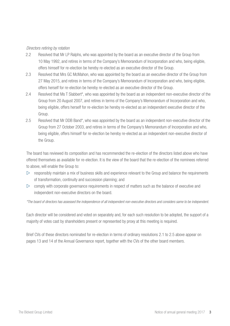#### *Directors retiring by rotation*

- 2.2 Resolved that Mr LP Ralphs, who was appointed by the board as an executive director of the Group from 10 May 1992, and retires in terms of the Company's Memorandum of Incorporation and who, being eligible, offers himself for re-election be hereby re-elected as an executive director of the Group.
- 2.3 Resolved that Mrs GC McMahon, who was appointed by the board as an executive director of the Group from 27 May 2015, and retires in terms of the Company's Memorandum of Incorporation and who, being eligible, offers herself for re-election be hereby re-elected as an executive director of the Group.
- 2.4 Resolved that Ms T Slabbert\*, who was appointed by the board as an independent non-executive director of the Group from 20 August 2007, and retires in terms of the Company's Memorandum of Incorporation and who, being eligible, offers herself for re-election be hereby re-elected as an independent executive director of the Group.
- 2.5 Resolved that Mr DDB Band\*, who was appointed by the board as an independent non-executive director of the Group from 27 October 2003, and retires in terms of the Company's Memorandum of Incorporation and who, being eligible, offers himself for re-election be hereby re-elected as an independent non-executive director of the Group.

The board has reviewed its composition and has recommended the re-election of the directors listed above who have offered themselves as available for re-election. It is the view of the board that the re-election of the nominees referred to above, will enable the Group to:

- $\triangleright$  responsibly maintain a mix of business skills and experience relevant to the Group and balance the requirements of transformation, continuity and succession planning; and
- $\triangleright$  comply with corporate governance requirements in respect of matters such as the balance of executive and independent non-executive directors on the board.

*\*The board of directors has assessed the independence of all independent non-executive directors and considers same to be independent.*

Each director will be considered and voted on separately and, for each such resolution to be adopted, the support of a majority of votes cast by shareholders present or represented by proxy at this meeting is required.

Brief CVs of these directors nominated for re-election in terms of ordinary resolutions 2.1 to 2.5 above appear on pages 13 and 14 of the Annual Governance report, together with the CVs of the other board members.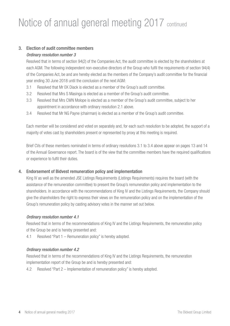### Notice of annual general meeting 2017 continued

#### 3. Election of audit committee members *Ordinary resolution number 3*

 Resolved that in terms of section 94(2) of the Companies Act, the audit committee is elected by the shareholders at each AGM. The following independent non-executive directors of the Group who fulfil the requirements of section 94(4) of the Companies Act, be and are hereby elected as the members of the Company's audit committee for the financial year ending 30 June 2018 until the conclusion of the next AGM:

- 3.1 Resolved that Mr EK Diack is elected as a member of the Group's audit committee.
- 3.2 Resolved that Mrs S Masinga is elected as a member of the Group's audit committee.
- 3.3 Resolved that Mrs CWN Molope is elected as a member of the Group's audit committee, subject to her appointment in accordance with ordinary resolution 2.1 above.
- 3.4 Resolved that Mr NG Payne (chairman) is elected as a member of the Group's audit committee.

Each member will be considered and voted on separately and, for each such resolution to be adopted, the support of a majority of votes cast by shareholders present or represented by proxy at this meeting is required.

Brief CVs of these members nominated in terms of ordinary resolutions 3.1 to 3.4 above appear on pages 13 and 14 of the Annual Governance report. The board is of the view that the committee members have the required qualifications or experience to fulfil their duties.

#### 4. Endorsement of Bidvest remuneration policy and implementation

 King IV as well as the amended JSE Listings Requirements (Listings Requirements) requires the board (with the assistance of the remuneration committee) to present the Group's remuneration policy and implementation to the shareholders. In accordance with the recommendations of King IV and the Listings Requirements, the Company should give the shareholders the right to express their views on the remuneration policy and on the implementation of the Group's remuneration policy by casting advisory votes in the manner set out below.

#### *Ordinary resolution number 4.1*

Resolved that in terms of the recommendations of King IV and the Listings Requirements, the remuneration policy of the Group be and is hereby presented and:

4.1 Resolved "Part 1 – Remuneration policy" is hereby adopted.

#### *Ordinary resolution number 4.2*

Resolved that in terms of the recommendations of King IV and the Listings Requirements, the remuneration implementation report of the Group be and is hereby presented and:

4.2 Resolved "Part 2 – Implementation of remuneration policy" is hereby adopted.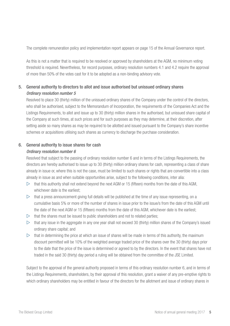The complete remuneration policy and implementation report appears on page 15 of the Annual Governance report.

As this is not a matter that is required to be resolved or approved by shareholders at the AGM, no minimum voting threshold is required. Nevertheless, for record purposes, ordinary resolution numbers 4.1 and 4.2 require the approval of more than 50% of the votes cast for it to be adopted as a non-binding advisory vote.

#### 5. General authority to directors to allot and issue authorised but unissued ordinary shares *Ordinary resolution number 5*

 Resolved to place 30 (thirty) million of the unissued ordinary shares of the Company under the control of the directors, who shall be authorised, subject to the Memorandum of Incorporation, the requirements of the Companies Act and the Listings Requirements, to allot and issue up to 30 (thirty) million shares in the authorised, but unissued share capital of the Company at such times, at such prices and for such purposes as they may determine, at their discretion, after setting aside so many shares as may be required to be allotted and issued pursuant to the Company's share incentive schemes or acquisitions utilising such shares as currency to discharge the purchase consideration.

#### 6. General authority to issue shares for cash

#### *Ordinary resolution number 6*

Resolved that subject to the passing of ordinary resolution number 6 and in terms of the Listings Requirements, the directors are hereby authorised to issue up to 30 (thirty) million ordinary shares for cash, representing a class of share already in issue or, where this is not the case, must be limited to such shares or rights that are convertible into a class already in issue as and when suitable opportunities arise, subject to the following conditions, inter alia:

- $\triangleright$  that this authority shall not extend beyond the next AGM or 15 (fifteen) months from the date of this AGM, whichever date is the earliest;
- $\triangleright$  that a press announcement giving full details will be published at the time of any issue representing, on a cumulative basis 5% or more of the number of shares in issue prior to the issue/s from the date of this AGM until the date of the next AGM or 15 (fifteen) months from the date of this AGM, whichever date is the earliest;
- $\triangleright$  that the shares must be issued to public shareholders and not to related parties;
- $\triangleright$  that any issue in the aggregate in any one year shall not exceed 30 (thirty) million shares of the Company's issued ordinary share capital; and
- $\triangleright$  that in determining the price at which an issue of shares will be made in terms of this authority, the maximum discount permitted will be 10% of the weighted average traded price of the shares over the 30 (thirty) days prior to the date that the price of the issue is determined or agreed to by the directors. In the event that shares have not traded in the said 30 (thirty) day period a ruling will be obtained from the committee of the JSE Limited.

Subject to the approval of the general authority proposed in terms of this ordinary resolution number 6, and in terms of the Listings Requirements, shareholders, by their approval of this resolution, grant a waiver of any pre-emptive rights to which ordinary shareholders may be entitled in favour of the directors for the allotment and issue of ordinary shares in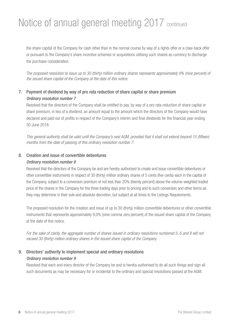### Notice of annual general meeting 2017 continued

the share capital of the Company for cash other than in the normal course by way of a rights offer or a claw-back offer or pursuant to the Company's share incentive schemes or acquisitions utilising such shares as currency to discharge the purchase consideration.

*The proposed resolution to issue up to 30 (thirty) million ordinary shares represents approximately 9% (nine percent) of the issued share capital of the Company at the date of this notice.*

#### 7. Payment of dividend by way of pro rata reduction of share capital or share premium *Ordinary resolution number 7*

Resolved that the directors of the Company shall be entitled to pay, by way of a pro rata reduction of share capital or share premium, in lieu of a dividend, an amount equal to the amount which the directors of the Company would have declared and paid out of profits in respect of the Company's interim and final dividends for the financial year ending 30 June 2018.

*This general authority shall be valid until the Company's next AGM, provided that it shall not extend beyond 15 (fifteen) months from the date of passing of this ordinary resolution number 7.*

#### 8. Creation and issue of convertible debentures

#### *Ordinary resolution number 8*

Resolved that the directors of the Company be and are hereby authorised to create and issue convertible debentures or other convertible instruments in respect of 30 (thirty) million ordinary shares of 5 cents (five cents) each in the capital of the Company, subject to a conversion premium of not less than 20% (twenty percent) above the volume-weighted traded price of the shares in the Company for the three trading days prior to pricing and to such conversion and other terms as they may determine in their sole and absolute discretion, but subject at all times to the Listings Requirements.

The proposed resolution for the creation and issue of up to 30 (thirty) million convertible debentures or other convertible instruments that represents approximately 9,0% (nine comma zero percent) of the issued share capital of the Company at the date of this notice.

*For the sake of clarity, the aggregate number of shares issued in ordinary resolutions numbered 5, 6 and 8 will not exceed 30 (thirty) million ordinary shares in the issued share capital of the Company.*

### 9. Directors' authority to implement special and ordinary resolutions *Ordinary resolution number 9*

Resolved that each and every director of the Company be and is hereby authorised to do all such things and sign all such documents as may be necessary for or incidental to the ordinary and special resolutions passed at the AGM.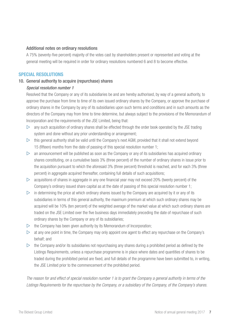#### Additional notes on ordinary resolutions

A 75% (seventy-five percent) majority of the votes cast by shareholders present or represented and voting at the general meeting will be required in order for ordinary resolutions numbered 6 and 8 to become effective.

#### SPECIAL RESOLUTIONS

#### 10. General authority to acquire (repurchase) shares

#### *Special resolution number 1*

Resolved that the Company or any of its subsidiaries be and are hereby authorised, by way of a general authority, to approve the purchase from time to time of its own issued ordinary shares by the Company, or approve the purchase of ordinary shares in the Company by any of its subsidiaries upon such terms and conditions and in such amounts as the directors of the Company may from time to time determine, but always subject to the provisions of the Memorandum of Incorporation and the requirements of the JSE Limited, being that:

- $\triangleright$  any such acquisition of ordinary shares shall be effected through the order book operated by the JSE trading system and done without any prior understanding or arrangement;
- $\triangleright$  this general authority shall be valid until the Company's next AGM, provided that it shall not extend beyond 15 (fifteen) months from the date of passing of this special resolution number 1;
- $\triangleright$  an announcement will be published as soon as the Company or any of its subsidiaries has acquired ordinary shares constituting, on a cumulative basis 3% (three percent) of the number of ordinary shares in issue prior to the acquisition pursuant to which the aforesaid 3% (three percent) threshold is reached, and for each 3% (three percent) in aggregate acquired thereafter, containing full details of such acquisitions;
- $\triangleright$  acquisitions of shares in aggregate in any one financial year may not exceed 20% (twenty percent) of the Company's ordinary issued share capital as at the date of passing of this special resolution number 1;
- $\triangleright$  in determining the price at which ordinary shares issued by the Company are acquired by it or any of its subsidiaries in terms of this general authority, the maximum premium at which such ordinary shares may be acquired will be 10% (ten percent) of the weighted average of the market value at which such ordinary shares are traded on the JSE Limited over the five business days immediately preceding the date of repurchase of such ordinary shares by the Company or any of its subsidiaries;
- $\triangleright$  the Company has been given authority by its Memorandum of Incorporation;
- $\triangleright$  at any one point in time, the Company may only appoint one agent to effect any repurchase on the Company's behalf; and
- $\triangleright$  the Company and/or its subsidiaries not repurchasing any shares during a prohibited period as defined by the Listings Requirements, unless a repurchase programme is in place where dates and quantities of shares to be traded during the prohibited period are fixed, and full details of the programme have been submitted to, in writing, the JSE Limited prior to the commencement of the prohibited period.

*The reason for and effect of special resolution number 1 is to grant the Company a general authority in terms of the Listings Requirements for the repurchase by the Company, or a subsidiary of the Company, of the Company's shares.*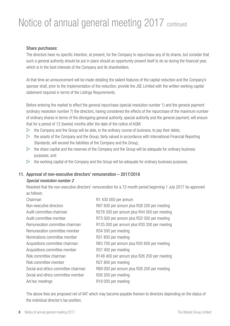### Notice of annual general meeting 2017 continued

#### Share purchases:

The directors have no specific intention, at present, for the Company to repurchase any of its shares, but consider that such a general authority should be put in place should an opportunity present itself to do so during the financial year, which is in the best interests of the Company and its shareholders.

At that time an announcement will be made detailing the salient features of the capital reduction and the Company's sponsor shall, prior to the implementation of the reduction, provide the JSE Limited with the written working capital statement required in terms of the Listings Requirements.

Before entering the market to effect the general repurchase (special resolution number 1) and the general payment (ordinary resolution number 7) the directors, having considered the effects of the repurchase of the maximum number of ordinary shares in terms of the aforegoing general authority, special authority and the general payment, will ensure that for a period of 12 (twelve) months after the date of the notice of AGM:

- $\triangleright$  the Company and the Group will be able, in the ordinary course of business, to pay their debts;
- $\triangleright$  the assets of the Company and the Group, fairly valued in accordance with International Financial Reporting Standards, will exceed the liabilities of the Company and the Group;
- $\triangleright$  the share capital and the reserves of the Company and the Group will be adequate for ordinary business purposes; and
- $\triangleright$  the working capital of the Company and the Group will be adequate for ordinary business purposes.

#### 11. Approval of non-executive directors' remuneration – 2017/2018

#### *Special resolution number 2*

Resolved that the non-executive directors' remuneration for a 12-month period beginning 1 July 2017 be approved as follows:

| R1 430 000 per annum                        |
|---------------------------------------------|
| R97 600 per annum plus R39 200 per meeting  |
| R278 200 per annum plus R44 000 per meeting |
| R73 500 per annum plus R32 000 per meeting  |
| R125 000 per annum plus R30 200 per meeting |
| R <sub>34</sub> 500 per meeting             |
| R <sub>31</sub> 800 per meeting             |
| R83 700 per annum plus R35 600 per meeting  |
| R <sub>37</sub> 400 per meeting             |
| R148 400 per annum plus R26 200 per meeting |
| R27 800 per meeting                         |
| R89 000 per annum plus R26 200 per meeting  |
| R <sub>26</sub> 200 per meeting             |
| R <sub>19</sub> 000 per meeting             |
|                                             |

The above fees are proposed net of VAT which may become payable thereon to directors depending on the status of the individual director's tax position.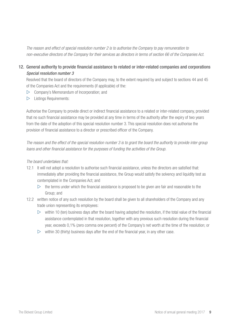*The reason and effect of special resolution number 2 is to authorise the Company to pay remuneration to non-executive directors of the Company for their services as directors in terms of section 66 of the Companies Act.*

12. General authority to provide financial assistance to related or inter-related companies and corporations *Special resolution number 3*

Resolved that the board of directors of the Company may, to the extent required by and subject to sections 44 and 45 of the Companies Act and the requirements (if applicable) of the:

- $\triangleright$  Company's Memorandum of Incorporation; and
- $\triangleright$  Listings Requirements:

Authorise the Company to provide direct or indirect financial assistance to a related or inter-related company, provided that no such financial assistance may be provided at any time in terms of the authority after the expiry of two years from the date of the adoption of this special resolution number 3. This special resolution does not authorise the provision of financial assistance to a director or prescribed officer of the Company.

*The reason and the effect of the special resolution number 3 is to grant the board the authority to provide inter-group loans and other financial assistance for the purposes of funding the activities of the Group.*

#### *The board undertakes that:*

- 12.1 It will not adopt a resolution to authorise such financial assistance, unless the directors are satisfied that: immediately after providing the financial assistance, the Group would satisfy the solvency and liquidity test as contemplated in the Companies Act; and
	- $\triangleright$  the terms under which the financial assistance is proposed to be given are fair and reasonable to the Group; and
- 12.2 written notice of any such resolution by the board shall be given to all shareholders of the Company and any trade union representing its employees:
	- $\triangleright$  within 10 (ten) business days after the board having adopted the resolution, if the total value of the financial assistance contemplated in that resolution, together with any previous such resolution during the financial year, exceeds 0,1% (zero comma one percent) of the Company's net worth at the time of the resolution; or
	- $\triangleright$  within 30 (thirty) business days after the end of the financial year, in any other case.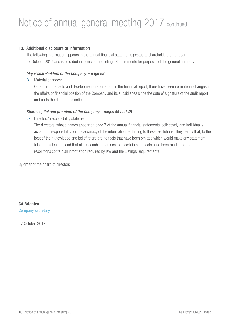### Notice of annual general meeting 2017 continued

#### 13. Additional disclosure of information

The following information appears in the annual financial statements posted to shareholders on or about 27 October 2017 and is provided in terms of the Listings Requirements for purposes of the general authority:

#### *Major shareholders of the Company – page 88*

 $\triangleright$  Material changes:

Other than the facts and developments reported on in the financial report, there have been no material changes in the affairs or financial position of the Company and its subsidiaries since the date of signature of the audit report and up to the date of this notice.

#### *Share capital and premium of the Company – pages 45 and 46*

 $\triangleright$  Directors' responsibility statement:

The directors, whose names appear on page 7 of the annual financial statements, collectively and individually accept full responsibility for the accuracy of the information pertaining to these resolutions. They certify that, to the best of their knowledge and belief, there are no facts that have been omitted which would make any statement false or misleading, and that all reasonable enquiries to ascertain such facts have been made and that the resolutions contain all information required by law and the Listings Requirements.

By order of the board of directors

CA Brighten Company secretary

27 October 2017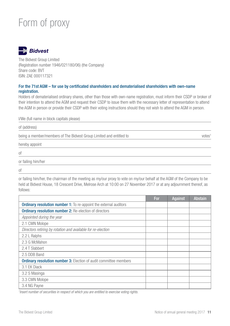### Form of proxy



The Bidvest Group Limited (Registration number 1946/021180/06) (the Company) Share code: BVT ISIN: ZAE 000117321

#### For the 71st AGM – for use by certificated shareholders and dematerialised shareholders with own-name registration.

Holders of dematerialised ordinary shares, other than those with own-name registration, must inform their CSDP or broker of their intention to attend the AGM and request their CSDP to issue them with the necessary letter of representation to attend the AGM in person or provide their CSDP with their voting instructions should they not wish to attend the AGM in person.

I/We (full name in block capitals please)

of (address) being a member/members of The Bidvest Group Limited and entitled to votes<sup>1</sup> votes<sup>1</sup> hereby appoint

of

or failing him/her

of

or failing him/her, the chairman of the meeting as my/our proxy to vote on my/our behalf at the AGM of the Company to be held at Bidvest House, 18 Crescent Drive, Melrose Arch at 10:00 on 27 November 2017 or at any adjournment thereof, as follows:

|                                                                          | For | Against | <b>Abstain</b> |
|--------------------------------------------------------------------------|-----|---------|----------------|
| <b>Ordinary resolution number 1:</b> To re-appoint the external auditors |     |         |                |
| Ordinary resolution number 2: Re-election of directors                   |     |         |                |
| Appointed during the year                                                |     |         |                |
| 2.1 CWN Molope                                                           |     |         |                |
| Directors retiring by rotation and available for re-election             |     |         |                |
| 2.2 L Ralphs                                                             |     |         |                |
| 2.3 G McMahon                                                            |     |         |                |
| 2.4 T Slabbert                                                           |     |         |                |
| 2.5 DDB Band                                                             |     |         |                |
| <b>Ordinary resolution number 3:</b> Election of audit committee members |     |         |                |
| 3.1 EK Diack                                                             |     |         |                |
| 3.2 S Masinga                                                            |     |         |                |
| 3.3 CWN Molope                                                           |     |         |                |
| 3.4 NG Payne                                                             |     |         |                |

<sup>1</sup> Insert number of securities in respect of which you are entitled to exercise voting rights.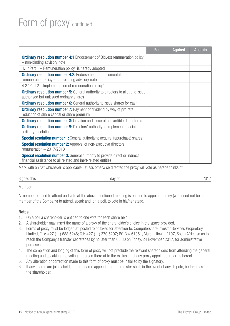### Form of proxy continued

|                                                                                                                                                       | For | Against | <b>Abstain</b> |
|-------------------------------------------------------------------------------------------------------------------------------------------------------|-----|---------|----------------|
| <b>Ordinary resolution number 4:1</b> Endorsement of Bidvest remuneration policy<br>- non-binding advisory note                                       |     |         |                |
| 4.1 "Part 1 – Remuneration policy" is hereby adopted                                                                                                  |     |         |                |
| <b>Ordinary resolution number 4.2:</b> Endorsement of implementation of<br>remuneration policy - non-binding advisory note                            |     |         |                |
| 4.2 "Part 2 – Implementation of remuneration policy"                                                                                                  |     |         |                |
| <b>Ordinary resolution number 5:</b> General authority to directors to allot and issue<br>authorised but unissued ordinary shares                     |     |         |                |
| <b>Ordinary resolution number 6:</b> General authority to issue shares for cash                                                                       |     |         |                |
| <b>Ordinary resolution number 7:</b> Payment of dividend by way of pro rata<br>reduction of share capital or share premium                            |     |         |                |
| <b>Ordinary resolution number 8:</b> Creation and issue of convertible debentures                                                                     |     |         |                |
| <b>Ordinary resolution number 9:</b> Directors' authority to implement special and<br>ordinary resolutions                                            |     |         |                |
| <b>Special resolution number 1:</b> General authority to acquire (repurchase) shares                                                                  |     |         |                |
| <b>Special resolution number 2:</b> Approval of non-executive directors'<br>remuneration $-2017/2018$                                                 |     |         |                |
| <b>Special resolution number 3:</b> General authority to provide direct or indirect<br>financial assistance to all related and inert-related entities |     |         |                |

Mark with an "X" whichever is applicable. Unless otherwise directed the proxy will vote as he/she thinks fit.

Signed this 2017

#### Member

A member entitled to attend and vote at the above mentioned meeting is entitled to appoint a proxy (who need not be a member of the Company) to attend, speak and, on a poll, to vote in his/her stead.

#### Notes

- 1. On a poll a shareholder is entitled to one vote for each share held.
- 2. A shareholder may insert the name of a proxy of the shareholder's choice in the space provided.
- 3. Forms of proxy must be lodged at, posted to or faxed for attention to: Computershare Investor Services Proprietary Limited, Fax: +27 (11) 688 5248; Tel: +27 (11) 370 5207; PO Box 61051, Marshalltown, 2107, South Africa so as to reach the Company's transfer secretaries by no later than 08:30 on Friday, 24 November 2017, for administrative purposes.
- 4. The completion and lodging of this form of proxy will not preclude the relevant shareholders from attending the general meeting and speaking and voting in person there at to the exclusion of any proxy appointed in terms hereof.
- 5. Any alteration or correction made to this form of proxy must be initialled by the signatory.
- 6. If any shares are jointly held, the first name appearing in the register shall, in the event of any dispute, be taken as the shareholder.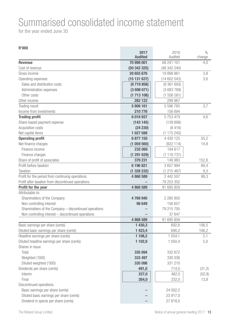## Summarised consolidated income statement

for the year ended June 30

|                                                                                    | 2017<br><b>Audited</b> | 2016<br>Audited      | $\frac{0}{0}$<br>change |
|------------------------------------------------------------------------------------|------------------------|----------------------|-------------------------|
| <b>Revenue</b>                                                                     | 70 998 001             | 68 241 101           | 4.0                     |
| Cost of revenue                                                                    | (50342325)             | (48 342 240)         |                         |
| Gross income                                                                       | 20 655 676             | 19 898 861           | 3,8                     |
| Operating expenses                                                                 | (15131637)             | (14 602 043)         | 3,6                     |
| Sales and distribution costs                                                       | (9719858)              | (9361693)            |                         |
| Administration expenses                                                            | (3698671)              | (3683769)            |                         |
| Other costs                                                                        | (1713108)              | (1556581)            |                         |
| Other income                                                                       | 282 122                | 299 967              |                         |
| Trading result                                                                     | 5 806 161              | 5 596 785            | 3,7                     |
| Income from investments                                                            | 210 776                | 156 694              |                         |
| <b>Trading profit</b>                                                              | 6 016 937              | 5753479              | 4,6                     |
| Share-based payment expense                                                        | (143145)               | (139698)             |                         |
| Acquisition costs                                                                  | (24 230)               | (8416)               |                         |
| Net capital items                                                                  | 1 027 588              | (1175240)            |                         |
| <b>Operating profit</b>                                                            | 6 877 150              | 4 430 125            | 55,2                    |
| Net finance charges                                                                | (1059560)              | (922114)             | 14,9                    |
| Finance income                                                                     | 232 069                | 194 617              |                         |
| Finance charges                                                                    | (1291629)              | (1116731)            |                         |
| Share of profit of associates                                                      | 379 231                | 149 983              | 152,8                   |
| Profit before taxation                                                             | 6 196 821              | 3 657 994            | 69,4                    |
| Taxation                                                                           | (1328232)              | (1 215 487)          | 9,3                     |
| Profit for the period from continuing operations                                   | 4868589                | 2 442 507            | 99,3                    |
| Profit after taxation from discontinued operations                                 |                        | 79 253 352           |                         |
| Profit for the year                                                                | 4 868 589              | 81 695 859           |                         |
| Attributable to:                                                                   |                        |                      |                         |
| Shareholders of the Company                                                        | 4769940                | 2 285 850            |                         |
| Non-controlling interest                                                           | 98 649                 | 156 657              |                         |
| Shareholders of the Company - discontinued operations                              |                        | 79 215 705           |                         |
| Non-controlling interest - discontinued operations                                 |                        | 37 647               |                         |
|                                                                                    | 4 868 589              | 81 695 859           |                         |
| Basic earnings per share (cents)                                                   | 1 430,3                | 692,6                | 106,5                   |
| Diluted basic earnings per share (cents)                                           | 1 4 23,4<br>1 108,2    | 690,2                | 106,2                   |
| Headline earnings per share (cents)<br>Diluted headline earnings per share (cents) | 1 102,9                | 1 0 5 4 1<br>1 050,4 | 5,1<br>5,0              |
| Shares in issue                                                                    |                        |                      |                         |
| Total                                                                              | 335 094                | 332 672              |                         |
| Weighted ('000)                                                                    | 333 497                | 330 036              |                         |
| Diluted weighted ('000)                                                            | 335 098                | 331 210              |                         |
| Dividends per share (cents)                                                        | 491,0                  | 714,0                | (31,2)                  |
| Interim                                                                            | 227,0                  | 482,0                | (52, 9)                 |
| Final                                                                              | 264,0                  | 232,0                | 13,8                    |
| Discontinued operations                                                            |                        |                      |                         |
| Basic earnings per share (cents)                                                   |                        | 24 002,2             |                         |
| Diluted basic earnings per share (cents)                                           |                        | 23 917,0             |                         |
| Dividend in specie per share (cents)                                               |                        | 27 818,0             |                         |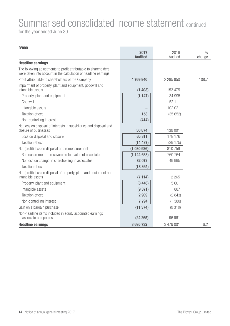### Summarised consolidated income statement continued for the year ended June 30

| טטט וו                                                                                                                               | 2017<br><b>Audited</b> | 2016<br>Audited | $\frac{0}{0}$<br>change |
|--------------------------------------------------------------------------------------------------------------------------------------|------------------------|-----------------|-------------------------|
| <b>Headline earnings</b>                                                                                                             |                        |                 |                         |
| The following adjustments to profit attributable to shareholders<br>were taken into account in the calculation of headline earnings: |                        |                 |                         |
| Profit attributable to shareholders of the Company                                                                                   | 4769940                | 2 285 850       | 108,7                   |
| Impairment of property, plant and equipment, goodwill and<br>intangible assets                                                       | (1403)                 | 153 475         |                         |
| Property, plant and equipment                                                                                                        | (1147)                 | 34 995          |                         |
| Goodwill                                                                                                                             |                        | 52 111          |                         |
| Intangible assets                                                                                                                    |                        | 102 021         |                         |
| <b>Taxation effect</b>                                                                                                               | 158                    | (35652)         |                         |
| Non-controlling interest                                                                                                             | (414)                  |                 |                         |
| Net loss on disposal of interests in subsidiaries and disposal and<br>closure of businesses                                          | 50 874                 | 139 001         |                         |
| Loss on disposal and closure                                                                                                         | 65 311                 | 178 176         |                         |
| <b>Taxation effect</b>                                                                                                               | (14437)                | (39175)         |                         |
| Net (profit) loss on disposal and remeasurement                                                                                      | (1080926)              | 810759          |                         |
| Remeasurement to recoverable fair value of associates                                                                                | (1144633)              | 760 764         |                         |
| Net loss on change in shareholding in associates                                                                                     | 82 072                 | 49 995          |                         |
| <b>Taxation effect</b>                                                                                                               | (18365)                |                 |                         |
| Net (profit) loss on disposal of property, plant and equipment and<br>intangible assets                                              | (7114)                 | 2 2 6 5         |                         |
| Property, plant and equipment                                                                                                        | (8446)                 | 5601            |                         |
| Intangible assets                                                                                                                    | (9371)                 | 887             |                         |
| <b>Taxation effect</b>                                                                                                               | 2 9 0 9                | (2843)          |                         |
| Non-controlling interest                                                                                                             | 7 7 9 4                | (1380)          |                         |
| Gain on a bargain purchase                                                                                                           | (11374)                | (9310)          |                         |
| Non-headline items included in equity accounted earnings<br>of associate companies                                                   | (24 265)               | 96 961          |                         |
| <b>Headline earnings</b>                                                                                                             | 3695732                | 3 479 001       | 6.2                     |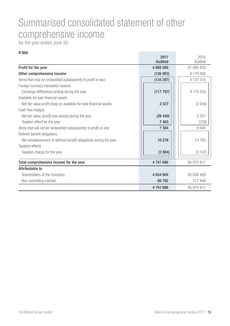### Summarised consolidated statement of other comprehensive income

for the year ended June 30

|                                                                     | 2017<br><b>Audited</b> | 2016<br>Audited |
|---------------------------------------------------------------------|------------------------|-----------------|
| Profit for the year                                                 | 4868589                | 81 695 859      |
| Other comprehensive income                                          | (126903)               | 4 179 958       |
| Items that may be reclassified subsequently to profit or loss       | (134 297)              | 4 170 310       |
| Foreign currency translation reserve                                |                        |                 |
| Exchange differences arising during the year                        | (117787)               | 4 170 535       |
| Available-for-sale financial assets                                 |                        |                 |
| Net fair value profit (loss) on available-for-sale financial assets | 2527                   | (2244)          |
| Cash flow hedges                                                    |                        |                 |
| Net fair value (profit) loss arising during the year                | (26 440)               | 2 2 5 7         |
| Taxation effect for the year                                        | 7403                   | (238)           |
| Items that will not be reclassified subsequently to profit or loss  | 7 3 9 4                | 9648            |
| Defined benefit obligations                                         |                        |                 |
| Net remeasurement of defined benefit obligations during the year    | 10 278                 | 14795           |
| Taxation effects                                                    |                        |                 |
| Taxation charge for the year                                        | (2884)                 | (5147)          |
| Total comprehensive income for the year                             | 4741686                | 85 875 817      |
| <b>Attributable to</b>                                              |                        |                 |
| Shareholders of the Company                                         | 4654904                | 85 658 409      |
| Non-controlling interest                                            | 86782                  | 217 408         |
|                                                                     | 4741686                | 85 875 817      |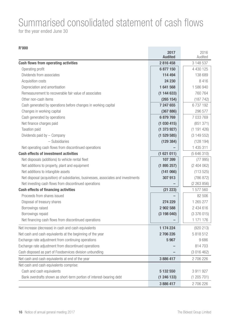# Summarised consolidated statement of cash flows

**Contract Contract Contract** 

for the year ended June 30

|                                                                                    | 2017<br><b>Audited</b> | 2016<br>Audited |
|------------------------------------------------------------------------------------|------------------------|-----------------|
| Cash flows from operating activities                                               | 2816458                | 3 148 537       |
| Operating profit                                                                   | 6877150                | 4 430 125       |
| Dividends from associates                                                          | 114 494                | 138 689         |
| Acquisition costs                                                                  | 24 230                 | 8416            |
| Depreciation and amortisation                                                      | 1641568                | 1 586 940       |
| Remeasurement to recoverable fair value of associates                              | (1144633)              | 760 764         |
| Other non-cash items                                                               | (265 154)              | (187742)        |
| Cash generated by operations before changes in working capital                     | 7 247 655              | 6737192         |
| Changes in working capital                                                         | (367 886)              | 296 577         |
| Cash generated by operations                                                       | 6879769                | 7 033 769       |
| Net finance charges paid                                                           | (1030415)              | (851 371)       |
| Taxation paid                                                                      | (1373927)              | (1191426)       |
| Dividends paid by - Company                                                        | (1529585)              | (3149552)       |
| - Subsidiaries                                                                     | (129 384)              | (128194)        |
| Net operating cash flows from discontinued operations                              |                        | 1 435 311       |
| <b>Cash effects of investment activities</b>                                       | (1621011)              | (5646310)       |
| Net disposals (additions) to vehicle rental fleet                                  | 107 399                | (77995)         |
| Net additions to property, plant and equipment                                     | (1895257)              | (2404062)       |
| Net additions to intangible assets                                                 | (141066)               | (113525)        |
| Net disposal (acquisition) of subsidiaries, businesses, associates and investments | 307913                 | (786 872)       |
| Net investing cash flows from discontinued operations                              |                        | (2 263 856)     |
| Cash effects of financing activities                                               | (21 223)               | 1 577 560       |
| Proceeds from shares issued                                                        |                        | 82 506          |
| Disposal of treasury shares                                                        | 274 229                | 1 265 277       |
| Borrowings raised                                                                  | 2 902 588              | 2 434 616       |
| Borrowings repaid                                                                  | (3198040)              | (3376015)       |
| Net financing cash flows from discontinued operations                              |                        | 1 171 176       |
| Net increase (decrease) in cash and cash equivalents                               | 1 174 224              | (920 213)       |
| Net cash and cash equivalents at the beginning of the year                         | 2706226                | 5 818 512       |
| Exchange rate adjustment from continuing operations                                | 5967                   | 9686            |
| Exchange rate adjustment from discontinued operations                              |                        | 814703          |
| Cash disposed as part of Foodservices division unbundling                          |                        | (3 016 462)     |
| Net cash and cash equivalents at end of the year                                   | 3886417                | 2706226         |
| Net cash and cash equivalents comprise:                                            |                        |                 |
| Cash and cash equivalents                                                          | 5 132 550              | 3 911 927       |
| Bank overdrafts shown as short-term portion of interest-bearing debt               | (1246133)              | (1205701)       |
|                                                                                    | 3886417                | 2706226         |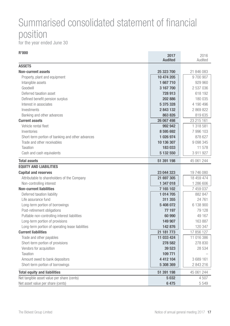### Summarised consolidated statement of financial position

for the year ended June 30

| <b>R'000</b>                                     | 2017<br><b>Audited</b> | 2016<br>Audited |
|--------------------------------------------------|------------------------|-----------------|
| <b>ASSETS</b>                                    |                        |                 |
| <b>Non-current assets</b>                        | 25 323 700             | 21 846 083      |
| Property, plant and equipment                    | 10 474 205             | 9700907         |
| Intangible assets                                | 1667710                | 929 960         |
| Goodwill                                         | 3 167 700              | 2 537 036       |
| Deferred taxation asset                          | 728 913                | 618 192         |
| Defined benefit pension surplus                  | 202 886                | 180 035         |
| Interest in associates                           | 5 375 328              | 4 190 496       |
| Investments                                      | 2843132                | 2 869 822       |
| Banking and other advances                       | 863 826                | 819635          |
| <b>Current assets</b>                            | 26 067 498             | 23 215 161      |
| Vehicle rental fleet                             | 992 942                | 1 318 581       |
| Inventories                                      | 8 595 692              | 7 996 103       |
| Short-term portion of banking and other advances | 1 026 974              | 878 627         |
| Trade and other receivables                      | 10 136 307             | 9 0 9 3 3 4 5   |
| Taxation                                         | 183 033                | 11 578          |
| Cash and cash equivalents                        | 5 132 550              | 3 911 927       |
| <b>Total assets</b>                              | 51 391 198             | 45 061 244      |
| <b>EQUITY AND LIABILITIES</b>                    |                        |                 |
| <b>Capital and reserves</b>                      | 23 044 323             | 19 746 080      |
| Attributable to shareholders of the Company      | 21 697 305             | 18 459 474      |
| Non-controlling interest                         | 1 347 018              | 1 286 606       |
| <b>Non-current liabilities</b>                   | 7 165 102              | 7 459 037       |
| Deferred taxation liability                      | 1014705                | 882 847         |
| Life assurance fund                              | 311 355                | 24761           |
| Long-term portion of borrowings                  | 5 408 072              | 6 138 900       |
| Post-retirement obligations                      | 77 197                 | 79 128          |
| Puttable non-controlling interest liabilities    | 60 990                 | 49 167          |
| Long-term portion of provisions                  | 149 907                | 163 887         |
| Long-term portion of operating lease liabilities | 142 876                | 120 347         |
| <b>Current liabilities</b>                       | 21 181 773             | 17 856 127      |
| Trade and other payables                         | 11 033 424             | 11 016 386      |
| Short-term portion of provisions                 | 278 582                | 278 830         |
| Vendors for acquisition                          | 39 523                 | 28 534          |
| Taxation                                         | 109 771                |                 |
| Amount owed to bank depositors                   | 4412104                | 3689161         |
| Short-term portion of borrowings                 | 5 308 369              | 2843216         |
| <b>Total equity and liabilities</b>              | 51 391 198             | 45 061 244      |
| Net tangible asset value per share (cents)       | 5032                   | 4 507           |
| Net asset value per share (cents)                | 6475                   | 5549            |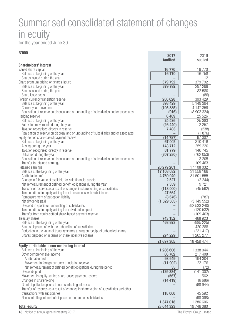### Summarised consolidated statement of changes in equity

for the year ended June 30

| <b>R'000</b>                                                                           |                        |                    |
|----------------------------------------------------------------------------------------|------------------------|--------------------|
|                                                                                        | 2017<br><b>Audited</b> | 2016<br>Audited    |
|                                                                                        |                        |                    |
| <b>Shareholders' interest</b>                                                          |                        |                    |
| Issued share capital                                                                   | 16770                  | 16770              |
| Balance at beginning of the year                                                       | 16770                  | 16758              |
| Shares issued during the year                                                          |                        | 12                 |
| Share premium arising on shares issued                                                 | 379 792                | 379 792            |
| Balance at beginning of the year                                                       | 379792                 | 297 298            |
| Shares issued during the year                                                          |                        | 82 580             |
| Share issue costs                                                                      |                        | (86)               |
| Foreign currency translation reserve                                                   | 286 628                | 393 429            |
| Balance at beginning of the year                                                       | 393 429                | 5 149 394          |
| Current year movement                                                                  | (105 885)              | 4 147 359          |
| Realisation of reserve on disposal and or unbundling of subsidiaries and or associates | (916)                  | (8 903 324)        |
| Hedging reserve                                                                        | 6489                   | 25 5 26            |
| Balance at beginning of the year                                                       | 25 5 26                | 25 383             |
| Fair value movements during the year                                                   | (26 440)               | 2 2 5 7            |
| Taxation recognised directly in reserve                                                | 7403                   | (238)              |
| Realisation of reserve on disposal and or unbundling of subsidiaries and or associates |                        | (1876)             |
| Equity-settled share-based payment reserve                                             | (14787)                | 67 002             |
| Balance at beginning of the year                                                       | 67002<br>143712        | 310 416            |
| Arising during the year                                                                |                        | 259 226            |
| Taxation recognised directly in reserve                                                | 81 779                 | 146 745            |
| Utilisation during the year                                                            | (307 280)              | (762053)           |
| Realisation of reserve on disposal and or unbundling of subsidiaries and or associates |                        | 3 2 0 5<br>109 463 |
| Transfer to retained earnings                                                          | 20 279 261             | 17 108 032         |
| Retained earnings<br>Balance at the beginning of the year                              | 17 108 032             | 31 558 166         |
| Attributable profit                                                                    | 4769940                | 81 501 555         |
| Change in fair value of available-for-sale financial assets                            | 2527                   | (2, 244)           |
| Net remeasurement of defined benefit obligations during the year                       | 7 3 5 9                | 9721               |
| Transfer of reserves as a result of changes in shareholding of subsidiaries            | (118000)               | (45 592)           |
| Taxation direct in equity arising from transactions with subsidiaries                  | 47 664                 |                    |
| Remeasurement of put option liability                                                  | (8676)                 | (787)              |
| Net dividends paid                                                                     | (1529585)              | (3149552)          |
| Dividend in specie on unbundling of subsidiaries                                       |                        | (92533240)         |
| Taxation direct in equity arising from dividend in specie                              |                        | (120532)           |
| Transfer from equity-settled share-based payment reserve                               |                        | (109 463)          |
| Treasury shares                                                                        | 743 152                | 468 923            |
| Balance at the beginning of the year                                                   | 468 923                | (985 225)          |
| Shares disposed of with the unbundling of subsidiaries                                 |                        | 420 288            |
| Reduction in the value of treasury shares arising on receipt of unbundled shares       |                        | (231 417)          |
| Shares disposed of in terms of share incentive scheme                                  | 274 229                | 1 265 277          |
|                                                                                        | 21 697 305             | 18 459 474         |
| Equity attributable to non-controlling interest                                        |                        |                    |
| Balance at beginning of the year                                                       | 1 286 606              | 1 338 044          |
| Other comprehensive income                                                             | 86782                  | 217408             |
| Attributable profit                                                                    | 98 649                 | 194 304            |
| Movement in foreign currency translation reserve                                       | (11902)                | 23 176             |
| Net remeasurement of defined benefit obligations during the period                     | 35                     | (72)               |
| Dividends paid                                                                         | (129384)               | (141302)           |
| Movement in equity-settled share-based payment reserve                                 | (567)                  | 562                |
| Changes in shareholding                                                                | (14419)                | (6666)             |
| Grant of puttable options to non-controlling interests                                 |                        | (68944)            |
| Transfer of reserves as a result of changes in shareholding of subsidiaries and other  |                        |                    |
| transactions with subsidiaries                                                         | 118 000                | 45 592             |
| Non-controlling interest of disposed or unbundled subsidiaries                         |                        | (98068)            |
|                                                                                        | 1 347 018              | 1 286 606          |
| <b>Total equity</b>                                                                    | 23 044 323             | 19 746 080         |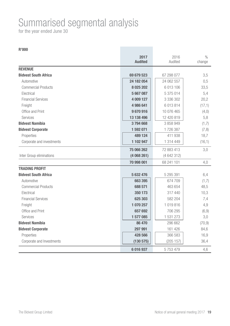### Summarised segmental analysis

for the year ended June 30

| R'000                       |                        |                 |                |
|-----------------------------|------------------------|-----------------|----------------|
|                             | 2017<br><b>Audited</b> | 2016<br>Audited | $\%$<br>change |
| <b>REVENUE</b>              |                        |                 |                |
| <b>Bidvest South Africa</b> | 69 679 523             | 67 298 077      | 3,5            |
| Automotive                  | 24 182 054             | 24 062 557      | 0,5            |
| <b>Commercial Products</b>  | 8 0 25 20 2            | 6 013 106       | 33,5           |
| Electrical                  | 5 667 087              | 5 375 014       | 5,4            |
| <b>Financial Services</b>   | 4 009 127              | 3 336 302       | 20,2           |
| Freight                     | 4 986 641              | 6 013 814       | (17,1)         |
| Office and Print            | 9670916                | 10 076 465      | (4,0)          |
| Services                    | 13 138 496             | 12 420 819      | 5,8            |
| <b>Bidvest Namibia</b>      | 3794668                | 3 858 949       | (1,7)          |
| <b>Bidvest Corporate</b>    | 1 592 071              | 1726387         | (7, 8)         |
| Properties                  | 489 124                | 411 938         | 18,7           |
| Corporate and investments   | 1 102 947              | 1 314 449       | (16,1)         |
|                             | 75 066 262             | 72 883 413      | 3,0            |
| Inter Group eliminations    | (4068261)              | (4 642 312)     |                |
|                             | 70 998 001             | 68 241 101      | 4,0            |
| <b>TRADING PROFIT</b>       |                        |                 |                |
| <b>Bidvest South Africa</b> | 5 632 476              | 5 295 391       | 6,4            |
| Automotive                  | 663 395                | 674 709         | (1,7)          |
| <b>Commercial Products</b>  | 688 571                | 463 654         | 48,5           |
| Electrical                  | 350 173                | 317 440         | 10,3           |
| <b>Financial Services</b>   | 625 303                | 582 204         | 7,4            |
| Freight                     | 1 070 257              | 1019816         | 4,9            |
| Office and Print            | 657 692                | 706 295         | (6, 9)         |
| Services                    | 1577085                | 1 531 273       | 3,0            |
| <b>Bidvest Namibia</b>      | 86 470                 | 296 662         | (70, 9)        |
| <b>Bidvest Corporate</b>    | 297 991                | 161 426         | 84,6           |
| Properties                  | 428 566                | 366 583         | 16,9           |
| Corporate and Investments   | (130 575)              | (205 157)       | 36,4           |
|                             | 6 016 937              | 5753479         | 4,6            |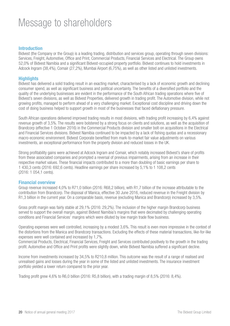### Message to shareholders

#### Introduction

Bidvest (the Company or the Group) is a leading trading, distribution and services group, operating through seven divisions: Services, Freight, Automotive, Office and Print, Commercial Products, Financial Services and Electrical. The Group owns 52,0% of Bidvest Namibia and a significant Bidvest-occupied property portfolio. Bidvest continues to hold investments in Adcock Ingram (38,4%), Comair (27,2%), Mumbai Airport (6,75%), as well as other listed and unlisted investments.

#### **Highlights**

Bidvest has delivered a solid trading result in an exacting market, characterised by a lack of economic growth and declining consumer spend, as well as significant business and political uncertainty. The benefits of a diversified portfolio and the quality of the underlying businesses are evident in the performance of the South African trading operations where five of Bidvest's seven divisions, as well as Bidvest Properties, delivered growth in trading profit. The Automotive division, while not growing profits, managed to perform ahead of a very challenging market. Exceptional cost discipline and driving down the cost of doing business helped to support growth in most of the businesses that faced deflationary pressure.

South African operations delivered improved trading results in most divisions, with trading profit increasing by 6,4% against revenue growth of 3,5%. The results were bolstered by a strong focus on clients and solutions, as well as the acquisition of Brandcorp (effective 1 October 2016) in the Commercial Products division and smaller bolt-on acquisitions in the Electrical and Financial Services divisions. Bidvest Namibia continued to be impacted by a lack of fishing quotas and a recessionary macro-economic environment. Bidvest Corporate benefited from mark-to-market fair value adjustments on various investments, an exceptional performance from the property division and reduced losses in the UK.

Strong profitability gains were achieved at Adcock Ingram and Comair, which notably increased Bidvest's share of profits from these associated companies and prompted a reversal of previous impairments, arising from an increase in their respective market values. These financial impacts contributed to a more than doubling of basic earnings per share to 1 430,3 cents (2016: 692,6 cents). Headline earnings per share increased by 5,1% to 1 108,2 cents (2016: 1 054,1 cents).

#### Financial overview

Group revenue increased 4,0% to R71,0 billion (2016: R68,2 billion), with R1,7 billion of the increase attributable to the contribution from Brandcorp. The disposal of Manica, effective 30 June 2016, reduced revenue in the Freight division by R1,3 billion in the current year. On a comparable basis, revenue (excluding Manica and Brandcorp) increased by 3,5%.

Gross profit margin was fairly stable at 29,1% (2016: 29,2%). The inclusion of the higher margin Brandcorp business served to support the overall margin, against Bidvest Namibia's margins that were decimated by challenging operating conditions and Financial Services' margins which were diluted by low margin trade flow business.

Operating expenses were well controlled, increasing by a modest 3,6%. This result is even more impressive in the context of the distortions from the Manica and Brandcorp transactions. Excluding the effects of these material transactions, like-for-like expenses were well contained and increased by 1,7%.

Commercial Products, Electrical, Financial Services, Freight and Services contributed positively to the growth in the trading profit. Automotive and Office and Print profits were slightly down, while Bidvest Namibia suffered a significant decline.

Income from investments increased by 34,5% to R210,8 million. This outcome was the result of a range of realised and unrealised gains and losses during the year in some of the listed and unlisted investments. The insurance investment portfolio yielded a lower return compared to the prior year.

Trading profit grew 4,6% to R6,0 billion (2016: R5,8 billion), with a trading margin of 8,5% (2016: 8,4%).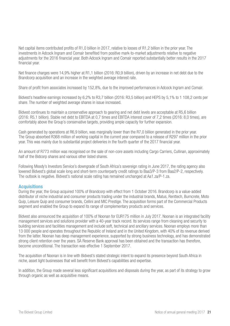Net capital items contributed profits of R1,0 billion in 2017, relative to losses of R1,2 billion in the prior year. The investments in Adcock Ingram and Comair benefited from positive mark-to-market adjustments relative to negative adjustments for the 2016 financial year. Both Adcock Ingram and Comair reported substantially better results in the 2017 financial year.

Net finance charges were 14,9% higher at R1,1 billion (2016: R0,9 billion), driven by an increase in net debt due to the Brandcorp acquisition and an increase in the weighted average interest rate.

Share of profit from associates increased by 152,8%, due to the improved performances in Adcock Ingram and Comair.

Bidvest's headline earnings increased by 6,2% to R3,7 billion (2016: R3,5 billion) and HEPS by 5,1% to 1 108,2 cents per share. The number of weighted average shares in issue increased.

Bidvest continues to maintain a conservative approach to gearing and net debt levels are acceptable at R5,6 billion (2016: R5,1 billion). Stable net debt to EBITDA at 0,7 times and EBITDA interest cover of 7,2 times (2016: 8,0 times), are comfortably above the Group's conservative targets, providing ample capacity for further expansion.

Cash generated by operations at R6,9 billion, was marginally lower than the R7,0 billion generated in the prior year. The Group absorbed R368 million of working capital in the current year compared to a release of R297 million in the prior year. This was mainly due to substantial project deliveries in the fourth quarter of the 2017 financial year.

An amount of R773 million was recognised on the sale of non-core assets including Cargo Carriers, Cullinan, approximately half of the Bidcorp shares and various other listed shares.

Following Moody's Investors Service's downgrade of South Africa's sovereign rating in June 2017, the rating agency also lowered Bidvest's global scale long and short-term counterparty credit ratings to Baa3/P-3 from Baa2/P-2, respectively. The outlook is negative. Bidvest's national scale rating has remained unchanged at Aa1.za/P-1.za.

#### **Acquisitions**

During the year, the Group acquired 100% of Brandcorp with effect from 1 October 2016. Brandcorp is a value-added distributor of niche industrial and consumer products trading under the industrial brands, Matus, Renttech, Burncrete, Moto Quip, Leisure Quip and consumer brands, Cellini and MIC Prestige. The acquisition forms part of the Commercial Products segment and enabled the Group to expand its range of complementary products and services.

Bidvest also announced the acquisition of 100% of Noonan for EUR175 million in July 2017. Noonan is an integrated facility management services and solutions provider with a 40-year track record. Its services range from cleaning and security to building services and facilities management and include soft, technical and ancillary services. Noonan employs more than 13 000 people and operates throughout the Republic of Ireland and in the United Kingdom, with 40% of its revenue derived from the latter. Noonan has deep management experience, supported by strong business technology, and has demonstrated strong client retention over the years. SA Reserve Bank approval has been obtained and the transaction has therefore, become unconditional. The transaction was effective 1 September 2017.

The acquisition of Noonan is in line with Bidvest's stated strategic intent to expand its presence beyond South Africa in niche, asset light businesses that will benefit from Bidvest's capabilities and expertise.

In addition, the Group made several less significant acquisitions and disposals during the year, as part of its strategy to grow through organic as well as acquisitive means.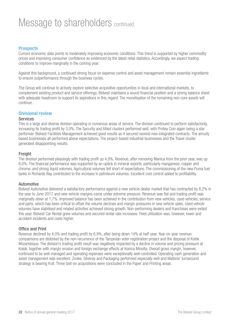### Message to shareholders continued

#### **Prospects**

Current economic data points to moderately improving economic conditions. This trend is supported by higher commodity prices and improving consumer confidence as evidenced by the latest retail statistics. Accordingly, we expect trading conditions to improve marginally in the coming year.

Against this background, a continued strong focus on expense control and asset management remain essential ingredients to ensure outperformance through the business cycles.

The Group will continue to actively explore selective acquisitive opportunities in local and international markets, to complement existing product and service offerings. Bidvest maintains a sound financial position and a strong balance sheet with adequate headroom to support its aspirations in this regard. The monetisation of the remaining non-core assets will continue.

#### Divisional review

#### **Services**

This is a large and diverse division operating in numerous areas of service. The division continued to perform satisfactorily, increasing its trading profit by 3,0%. The Security and Allied clusters performed well, with Protea Coin again being a star performer. Bidvest Facilities Management achieved good results as it secured several new integrated contracts. The annuity based businesses all performed above expectations. The project-based industrial businesses and the Travel cluster generated disappointing results.

#### **Freight**

The division performed pleasingly with trading profit up 4,9%. Revenue, after removing Manica from the prior year, was up 6,0%. The financial performance was supported by an uptick in mineral exports, particularly manganese, copper and chrome, and strong liquid volumes. Agricultural volumes fell short of expectations. The commissioning of the new Puma fuel tanks in Richards Bay contributed to the increase in petroleum volumes. Excellent cost control added to profitability.

#### Automotive

Bidvest Automotive delivered a satisfactory performance against a new vehicle dealer market that has contracted by 8,2% in the year to June 2017 and new vehicle margins came under extreme pressure. Revenue was flat and trading profit was marginally down at 1,7%. Improved balance has been achieved in the contribution from new vehicles, used vehicles, service and parts, which has been critical to offset the volume declines and margin pressures in new vehicle sales. Used vehicle volumes have stabilised and related activities achieved strong growth. Non-performing dealers and franchises were exited this year. Bidvest Car Rental grew volumes and secured rental rate increases. Fleet utilisation was, however, lower and accident incidents and costs higher.

#### Office and Print

Revenue declined by 4,0% and trading profit by 6,9%, after being down 14% at half-year. Year-on-year revenue comparisons are distorted by the non-recurrence of the Tanzanian voter registration project and the disposal of Kolok Mozambique. The division's trading profit result was negatively impacted by a decline in volume and pricing pressure at Kolok, together with margin erosion and foreign exchange effects at Konica Minolta. Overall gross margin, however, continued to be well managed and operating expenses were exceptionally well-controlled. Operating cash generation and asset management was excellent. Zonke, Silveray and Packaging performed especially well and Waltons' turnaround strategy is bearing fruit. Three bolt-on acquisitions were concluded in the Paper and Printing areas.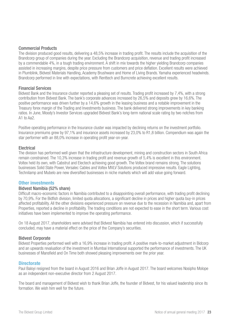#### Commercial Products

The division produced good results, delivering a 48,5% increase in trading profit. The results include the acquisition of the Brandcorp group of companies during the year. Excluding the Brandcorp acquisition, revenue and trading profit increased by a commendable 4%, in a tough trading environment. A shift in mix towards the higher yielding Brandcorp companies assisted in increasing margins, despite price pressure from customers and price deflation. Excellent results were achieved in Plumblink, Bidvest Materials Handling, Academy Brushware and Home of Living Brands. Yamaha experienced headwinds. Brandcorp performed in line with expectations, with Renttech and Burncrete achieving excellent results.

#### Financial Services

Bidvest Bank and the Insurance cluster reported a pleasing set of results. Trading profit increased by 7,4%, with a strong contribution from Bidvest Bank. The bank's corporate advances increased by 26,5% and deposits grew by 16,6%. The positive performance was driven further by a 14,6% growth in the leasing business and a notable improvement in the Treasury forex margin of the Trading and Investments business. The bank delivered strong improvements in key banking ratios. In June, Moody's Investor Services upgraded Bidvest Bank's long-term national scale rating by two notches from A1 to Aa2.

Positive operating performance in the Insurance cluster was impacted by declining returns on the investment portfolio. Insurance premiums grew by 97,1% and insurance assets increased by 23,0% to R1,8 billion. Compendium was again the star performer with an 88,0% increase in operating profit year-on-year.

#### Electrical

The division has performed well given that the infrastructure development, mining and construction sectors in South Africa remain constrained. The 10,3% increase in trading profit and revenue growth of 5,4% is excellent in this environment. Voltex held its own, with Cabstrut and Electech achieving good growth. The Voltex brand remains strong. The solutions businesses Solid State Power, Versalec Cables and Voltex MVLV Solutions produced impressive results. Eagle Lighting, Technilamp and Mubelo are new diversified businesses in niche markets which will add value going forward.

#### Other investments

#### Bidvest Namibia (52% share)

Difficult macro-economic factors in Namibia contributed to a disappointing overall performance, with trading profit declining by 70,9%. For the Bidfish division, limited quota allocations, a significant decline in prices and higher quota buy-in prices affected profitability. All the other divisions experienced pressure on revenue due to the recession in Namibia and, apart from Properties, reported a decline in profitability. The trading conditions are not expected to ease in the short term. Various cost initiatives have been implemented to improve the operating performance.

On 18 August 2017, shareholders were advised that Bidvest Namibia has entered into discussion, which if successfully concluded, may have a material effect on the price of the Company's securities.

#### Bidvest Corporate

Bidvest Properties performed well with a 16,9% increase in trading profit. A positive mark-to-market adjustment in Bidcorp and an upwards revaluation of the investment in Mumbai International supported the performance of investments. The UK businesses of Mansfield and On Time both showed pleasing improvements over the prior year.

#### **Directorate**

Paul Baloyi resigned from the board in August 2016 and Brian Joffe in August 2017. The board welcomes Nosipho Molope as an independent non-executive director from 2 August 2017.

The board and management of Bidvest wish to thank Brian Joffe, the founder of Bidvest, for his valued leadership since its formation. We wish him well for the future.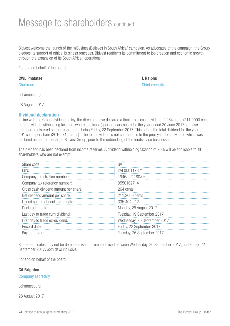### Message to shareholders continued

Bidvest welcome the launch of the "#BusinessBelieves in South Africa" campaign. As advocates of the campaign, the Group pledges its support of ethical business practices. Bidvest reaffirms its commitment to job creation and economic growth through the expansion of its South African operations.

For and on behalf of the board

#### CWL Phalatse L Ralphs

Johannesburg

28 August 2017

#### Dividend declaration

In line with the Group dividend policy, the directors have declared a final gross cash dividend of 264 cents (211,2000 cents net of dividend withholding taxation, where applicable) per ordinary share for the year ended 30 June 2017 to those members registered on the record date, being Friday, 22 September 2017. This brings the total dividend for the year to 491 cents per share (2016: 714 cents). The total dividend is not comparable to the prior year total dividend which was declared as part of the larger Bidvest Group, prior to the unbundling of the foodservice businesses.

The dividend has been declared from income reserves. A dividend withholding taxation of 20% will be applicable to all shareholders who are not exempt.

| Share code:                           | <b>BVT</b>                   |
|---------------------------------------|------------------------------|
| ISIN:                                 | ZAE000117321                 |
| Company registration number:          | 1946/021180/06               |
| Company tax reference number:         | 9550162714                   |
| Gross cash dividend amount per share: | 264 cents                    |
| Net dividend amount per share:        | 211,2000 cents               |
| Issued shares at declaration date:    | 335 404 212                  |
| Declaration date:                     | Monday, 28 August 2017       |
| Last day to trade cum dividend:       | Tuesday, 19 September 2017   |
| First day to trade ex-dividend:       | Wednesday, 20 September 2017 |
| Record date:                          | Friday, 22 September 2017    |
| Payment date:                         | Tuesday, 26 September 2017   |

Share certificates may not be dematerialised or rematerialised between Wednesday, 20 September 2017, and Friday, 22 September 2017, both days inclusive.

For and on behalf of the board

#### CA Brighten

Company secretary

Johannesburg

28 August 2017

Chairman Chief executive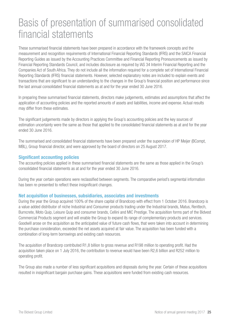### Basis of presentation of summarised consolidated financial statements

These summarised financial statements have been prepared in accordance with the framework concepts and the measurement and recognition requirements of International Financial Reporting Standards (IFRS) and the SAICA Financial Reporting Guides as issued by the Accounting Practices Committee and Financial Reporting Pronouncements as issued by Financial Reporting Standards Council, and includes disclosure as required by IAS 34 Interim Financial Reporting and the Companies Act of South Africa. They do not include all the information required for a complete set of International Financial Reporting Standards (IFRS) financial statements. However, selected explanatory notes are included to explain events and transactions that are significant to an understanding to the changes in the Group's financial position and performance since the last annual consolidated financial statements as at and for the year ended 30 June 2016.

In preparing these summarised financial statements, directors make judgements, estimates and assumptions that affect the application of accounting policies and the reported amounts of assets and liabilities, income and expense. Actual results may differ from these estimates.

The significant judgements made by directors in applying the Group's accounting policies and the key sources of estimation uncertainty were the same as those that applied to the consolidated financial statements as at and for the year ended 30 June 2016.

The summarised and consolidated financial statements have been prepared under the supervision of HP Meijer (BCompt, MBL), Group financial director, and were approved by the board of directors on 25 August 2017.

#### Significant accounting policies

The accounting policies applied in these summarised financial statements are the same as those applied in the Group's consolidated financial statements as at and for the year ended 30 June 2016.

During the year certain operations were reclassified between segments. The comparative period's segmental information has been re-presented to reflect these insignificant changes.

#### Net acquisition of businesses, subsidiaries, associates and investments

During the year the Group acquired 100% of the share capital of Brandcorp with effect from 1 October 2016. Brandcorp is a value added distributor of niche Industrial and Consumer products trading under the Industrial brands, Matus, Renttech, Burncrete, Moto Quip, Leisure Quip and consumer brands, Cellini and MIC Prestige. The acquisition forms part of the Bidvest Commercial Products segment and will enable the Group to expand its range of complementary products and services. Goodwill arose on the acquisition as the anticipated value of future cash flows, that were taken into account in determining the purchase consideration, exceeded the net assets acquired at fair value. The acquisition has been funded with a combination of long-term borrowings and existing cash resources.

The acquisition of Brandcorp contributed R1,8 billion to gross revenue and R198 million to operating profit. Had the acquisition taken place on 1 July 2016, the contribution to revenue would have been R2,6 billion and R252 million to operating profit.

The Group also made a number of less significant acquisitions and disposals during the year. Certain of these acquisitions resulted in insignificant bargain purchase gains. These acquisitions were funded from existing cash resources.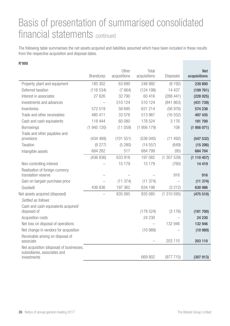### Basis of presentation of summarised consolidated financial statements continued

The following table summarises the net assets acquired and liabilities assumed which have been included in these results from the respective acquisition and disposal dates.

|                                                                           | Brandcorp | Other<br>acquisitions | Total<br>acquisitions | <b>Disposals</b>         | <b>Net</b><br>acquisitions |
|---------------------------------------------------------------------------|-----------|-----------------------|-----------------------|--------------------------|----------------------------|
| Property, plant and equipment                                             | 185 302   | 63 690                | 248 992               | (9192)                   | 239 800                    |
| Deferred taxation                                                         | (116534)  | (7664)                | (124198)              | 14 4 37                  | (109761)                   |
| Interest in associates                                                    | 27 626    | 32 790                | 60416                 | (288441)                 | (228025)                   |
| Investments and advances                                                  |           | 510 124               | 510 124               | (941863)                 | (431 739)                  |
| Inventories                                                               | 572 519   | 58 695                | 631 214               | (56976)                  | 574 238                    |
| Trade and other receivables                                               | 480 411   | 33 576                | 513 987               | (16552)                  | 497 435                    |
| Cash and cash equivalents                                                 | 118 444   | 60 080                | 178 524               | 3 1 7 6                  | 181700                     |
| Borrowings                                                                | (1945120) | (11059)               | (1956179)             | 108                      | (1956071)                  |
| Trade and other payables and                                              |           |                       |                       |                          |                            |
| provisions                                                                | (434 489) | (101 551)             | (536040)              | (11 492)                 | (547532)                   |
| Taxation                                                                  | (9277)    | (5280)                | (14557)               | (649)                    | (15206)                    |
| Intangible assets                                                         | 684 282   | 517                   | 684 799               | (95)                     | 684 704                    |
|                                                                           | (436 836) | 633 918               | 197 082               | (1307539)                | (1110457)                  |
| Non-controlling interest                                                  |           | 15 1 7 9              | 15 179                | (760)                    | 14 4 19                    |
| Realisation of foreign currency<br>translation reserve                    |           |                       |                       | 916                      | 916                        |
| Gain on bargain purchase price                                            |           | (11374)               | (11374)               | $\overline{\phantom{0}}$ | (11374)                    |
| Goodwill                                                                  | 436 836   | 197 362               | 634 198               | (3 212)                  | 630 986                    |
| Net assets acquired (disposed)                                            |           | 835 085               | 835 085               | (1310595)                | (475 510)                  |
| Settled as follows:                                                       |           |                       |                       |                          |                            |
| Cash and cash equivalents acquired/<br>disposed of                        |           |                       | (178524)              | (3176)                   | (181 700)                  |
| Acquisition costs                                                         |           |                       | 24 230                |                          | 24 230                     |
| Net loss on disposal of operations                                        |           |                       |                       | 132 946                  | 132 946                    |
| Net change in vendors for acquisition                                     |           |                       | (10989)               |                          | (10989)                    |
| Receivable arising on disposal of<br>associate                            |           |                       |                       | 203 110                  | 203 110                    |
| Net acquisition (disposal) of businesses,<br>subsidiaries, associates and |           |                       |                       |                          |                            |
| investments                                                               |           |                       | 669 802               | (977715)                 | (307913)                   |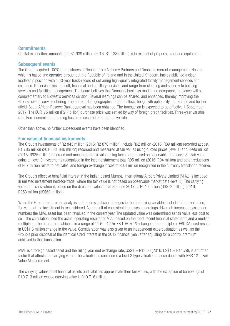#### **Commitments**

Capital expenditure amounting to R1 939 million (2016: R1 138 million) is in respect of property, plant and equipment.

#### Subsequent events

The Group acquired 100% of the shares of Noonan from Alchemy Partners and Noonan's current management. Noonan, which is based and operates throughout the Republic of Ireland and in the United Kingdom, has established a clear leadership position with a 40-year track-record of delivering high-quality integrated facility management services and solutions. Its services include soft, technical and ancillary services, and range from cleaning and security to building services and facilities management. The board believes that Noonan's business model and geographic presence will be complementary to Bidvest's Services division. Several learnings can be shared, and enhanced, thereby improving the Group's overall service offering. The current dual geographic footprint allows for growth optionality into Europe and further afield. South African Reserve Bank approval has been obtained. The transaction is expected to be effective 1 September 2017. The EUR175 million (R2,7 billion) purchase price was settled by way of foreign credit facilities. Three-year variable rate, Euro denominated funding has been secured at an attractive rate.

Other than above, no further subsequent events have been identified.

#### Fair value of financial instruments

The Group's investments of R2 843 million (2016: R2 870 million) include R62 million (2016: R89 million) recorded at cost, R1 785 million (2016: R1 846 million) recorded and measured at fair values using quoted prices (level 1) and R996 million (2016: R935 million) recorded and measured at fair value using factors not based on observable data (level 3). Fair value gains on level 3 investments recognised in the income statement total R95 million (2016: R94 million) and other reductions of R67 million relate to net sales, and foreign exchange losses of R0,4 million recognised in the currency translation reserve.

The Group's effective beneficial interest in the Indian based Mumbai International Airport Private Limited (MIAL) is included in unlisted investment held-for-trade, where the fair value is not based on observable market data (level 3). The carrying value of this investment, based on the directors' valuation at 30 June 2017, is R940 million (US\$72 million) (2016: R853 million (US\$60 million)).

When the Group performs an analysis and notes significant changes in the underlying variables included in the valuation, the value of the investment is reconsidered. As a result of consistent increases in earnings driven off increased passenger numbers the MIAL asset has been revalued in the current year. The updated value was determined as fair value less cost to sell. The calculation used the actual operating results for MIAL based on the most recent financial statements and a median multiple for the peer group which is in a range of  $11.6 - 12.5x$  EBITDA. A 1% change in the multiple or EBITDA used results in US\$1,6 million change in the value. Consideration was also given to an independent expert valuation as well as the Group's prior disposal of the identical sized interest in the 2012 financial year, after adjusting for a control premium achieved in that transaction.

MIAL is a foreign based asset and the ruling year end exchange rate, US\$1 = R13,06 (2016; US\$1 = R14,79), is a further factor that affects the carrying value. The valuation is considered a level 3 type valuation in accordance with IFRS 13 – Fair Value Measurement.

The carrying values of all financial assets and liabilities approximate their fair values, with the exception of borrowings of R10 713 million whose carrying value is R10 716 million.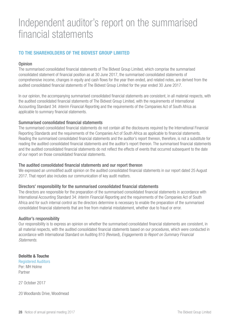### Independent auditor's report on the summarised financial statements

#### TO THE SHAREHOLDERS OF THE BIDVEST GROUP LIMITED

#### **Opinion**

The summarised consolidated financial statements of The Bidvest Group Limited, which comprise the summarised consolidated statement of financial position as at 30 June 2017, the summarised consolidated statements of comprehensive income, changes in equity and cash flows for the year then ended, and related notes, are derived from the audited consolidated financial statements of The Bidvest Group Limited for the year ended 30 June 2017.

In our opinion, the accompanying summarised consolidated financial statements are consistent, in all material respects, with the audited consolidated financial statements of The Bidvest Group Limited, with the requirements of International Accounting Standard 34: *Interim Financial Reportin*g and the requirements of the Companies Act of South Africa as applicable to summary financial statements.

#### Summarised consolidated financial statements

The summarised consolidated financial statements do not contain all the disclosures required by the International Financial Reporting Standards and the requirements of the Companies Act of South Africa as applicable to financial statements. Reading the summarised consolidated financial statements and the auditor's report thereon, therefore, is not a substitute for reading the audited consolidated financial statements and the auditor's report thereon. The summarised financial statements and the audited consolidated financial statements do not reflect the effects of events that occurred subsequent to the date of our report on those consolidated financial statements.

#### The audited consolidated financial statements and our report thereon

We expressed an unmodified audit opinion on the audited consolidated financial statements in our report dated 25 August 2017. That report also includes our communication of key audit matters.

#### Directors' responsibility for the summarised consolidated financial statements

The directors are responsible for the preparation of the summarised consolidated financial statements in accordance with International Accounting Standard 34: *Interim Financial Reportin*g and the requirements of the Companies Act of South Africa and for such internal control as the directors determine is necessary to enable the preparation of the summarised consolidated financial statements that are free from material misstatement, whether due to fraud or error.

#### Auditor's responsibility

Our responsibility is to express an opinion on whether the summarised consolidated financial statements are consistent, in all material respects, with the audited consolidated financial statements based on our procedures, which were conducted in accordance with International Standard on Auditing 810 (Revised), *Engagements to Report on Summary Financial Statements.*

#### Deloitte & Touche

Registered Auditors Per: MH Holme Partner

27 October 2017

20 Woodlands Drive, Woodmead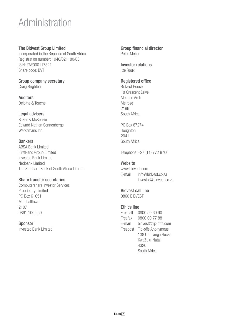### Administration

#### The Bidvest Group Limited

Incorporated in the Republic of South Africa Registration number: 1946/021180/06 ISIN: ZAE000117321 Share code: BVT

#### Group company secretary Craig Brighten

Auditors Deloitte & Touche

#### Legal advisers

Baker & McKenzie Edward Nathan Sonnenbergs Werksmans Inc

#### Bankers

ABSA Bank Limited FirstRand Group Limited Investec Bank Limited Nedbank Limited The Standard Bank of South Africa Limited

#### Share transfer secretaries

Computershare Investor Services Proprietary Limited PO Box 61051 Marshalltown 2107 0861 100 950

#### **Sponsor**

Investec Bank Limited

Group financial director Peter Meijer

Investor relations Ilze Roux

#### Registered office

Bidvest House 18 Crescent Drive Melrose Arch Melrose 2196 South Africa

PO Box 87274 Houghton 2041 South Africa

Telephone +27 (11) 772 8700

#### **Website**

www.bidvest.com E-mail info@bidvest.co.za investor@bidvest.co.za

### Bidvest call line

0860 BIDVEST

#### Ethics line

| Freecall | 0800 50 60 90        |
|----------|----------------------|
| Freefax  | 0800 00 77 88        |
| E-mail   | bidvest@tip-offs.com |
| Freepost | Tip-offs Anonymous   |
|          | 138 Umhlanga Rocks   |
|          | KwaZulu-Natal        |
|          | 4320                 |
|          | South Africa         |